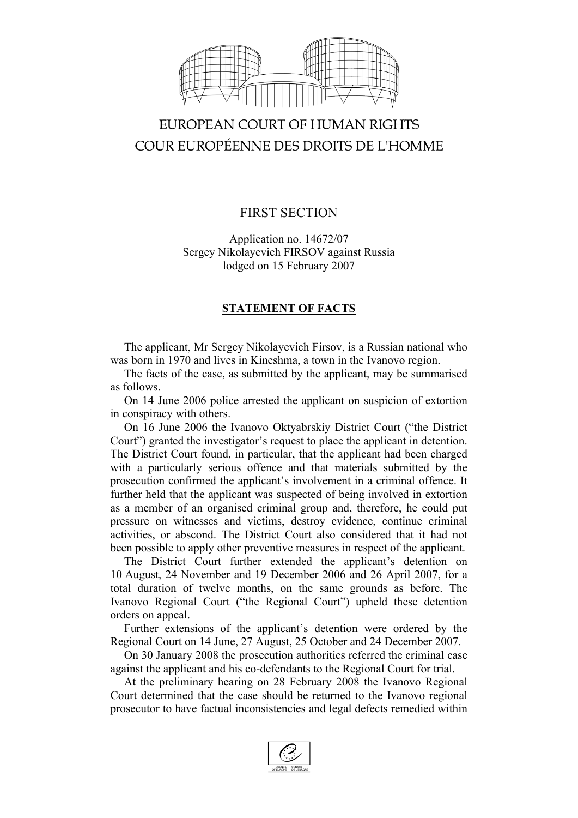

# EUROPEAN COURT OF HUMAN RIGHTS COUR EUROPÉENNE DES DROITS DE L'HOMME

## FIRST SECTION

Application no. 14672/07 Sergey Nikolayevich FIRSOV against Russia lodged on 15 February 2007

### **STATEMENT OF FACTS**

The applicant, Mr Sergey Nikolayevich Firsov, is a Russian national who was born in 1970 and lives in Kineshma, a town in the Ivanovo region.

The facts of the case, as submitted by the applicant, may be summarised as follows.

On 14 June 2006 police arrested the applicant on suspicion of extortion in conspiracy with others.

On 16 June 2006 the Ivanovo Oktyabrskiy District Court ("the District Court") granted the investigator's request to place the applicant in detention. The District Court found, in particular, that the applicant had been charged with a particularly serious offence and that materials submitted by the prosecution confirmed the applicant's involvement in a criminal offence. It further held that the applicant was suspected of being involved in extortion as a member of an organised criminal group and, therefore, he could put pressure on witnesses and victims, destroy evidence, continue criminal activities, or abscond. The District Court also considered that it had not been possible to apply other preventive measures in respect of the applicant.

The District Court further extended the applicant's detention on 10 August, 24 November and 19 December 2006 and 26 April 2007, for a total duration of twelve months, on the same grounds as before. The Ivanovo Regional Court ("the Regional Court") upheld these detention orders on appeal.

Further extensions of the applicant's detention were ordered by the Regional Court on 14 June, 27 August, 25 October and 24 December 2007.

On 30 January 2008 the prosecution authorities referred the criminal case against the applicant and his co-defendants to the Regional Court for trial.

At the preliminary hearing on 28 February 2008 the Ivanovo Regional Court determined that the case should be returned to the Ivanovo regional prosecutor to have factual inconsistencies and legal defects remedied within

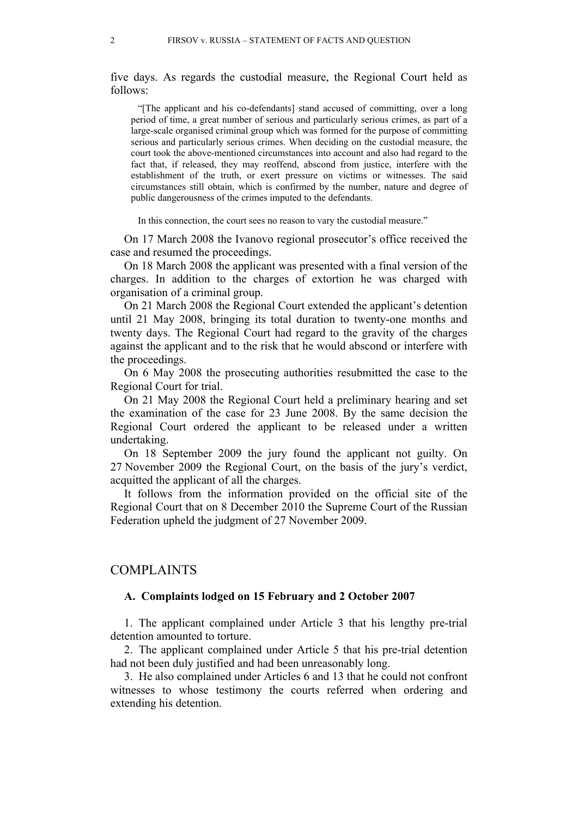five days. As regards the custodial measure, the Regional Court held as follows:

"[The applicant and his co-defendants] stand accused of committing, over a long period of time, a great number of serious and particularly serious crimes, as part of a large-scale organised criminal group which was formed for the purpose of committing serious and particularly serious crimes. When deciding on the custodial measure, the court took the above-mentioned circumstances into account and also had regard to the fact that, if released, they may reoffend, abscond from justice, interfere with the establishment of the truth, or exert pressure on victims or witnesses. The said circumstances still obtain, which is confirmed by the number, nature and degree of public dangerousness of the crimes imputed to the defendants.

In this connection, the court sees no reason to vary the custodial measure."

On 17 March 2008 the Ivanovo regional prosecutor's office received the case and resumed the proceedings.

On 18 March 2008 the applicant was presented with a final version of the charges. In addition to the charges of extortion he was charged with organisation of a criminal group.

On 21 March 2008 the Regional Court extended the applicant's detention until 21 May 2008, bringing its total duration to twenty-one months and twenty days. The Regional Court had regard to the gravity of the charges against the applicant and to the risk that he would abscond or interfere with the proceedings.

On 6 May 2008 the prosecuting authorities resubmitted the case to the Regional Court for trial.

On 21 May 2008 the Regional Court held a preliminary hearing and set the examination of the case for 23 June 2008. By the same decision the Regional Court ordered the applicant to be released under a written undertaking.

On 18 September 2009 the jury found the applicant not guilty. On 27 November 2009 the Regional Court, on the basis of the jury's verdict, acquitted the applicant of all the charges.

It follows from the information provided on the official site of the Regional Court that on 8 December 2010 the Supreme Court of the Russian Federation upheld the judgment of 27 November 2009.

#### COMPLAINTS

#### **A. Complaints lodged on 15 February and 2 October 2007**

1. The applicant complained under Article 3 that his lengthy pre-trial detention amounted to torture.

2. The applicant complained under Article 5 that his pre-trial detention had not been duly justified and had been unreasonably long.

3. He also complained under Articles 6 and 13 that he could not confront witnesses to whose testimony the courts referred when ordering and extending his detention.